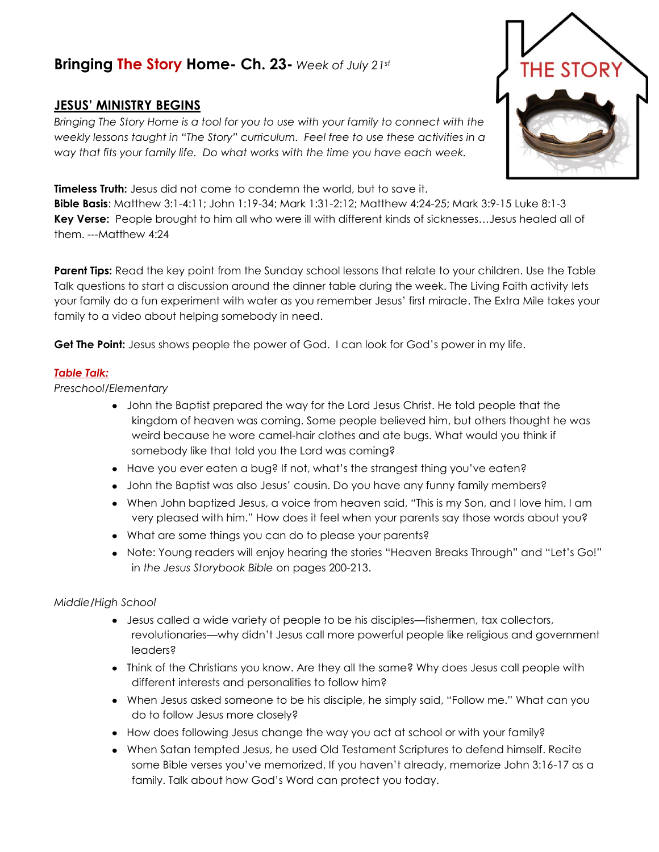# **Bringing The Story Home- Ch. 23-** *Week of July 21st*

## **JESUS' MINISTRY BEGINS**

*Bringing The Story Home is a tool for you to use with your family to connect with the weekly lessons taught in "The Story" curriculum. Feel free to use these activities in a way that fits your family life. Do what works with the time you have each week.* 

### **Timeless Truth:** Jesus did not come to condemn the world, but to save it.

**Bible Basis**: Matthew 3:1-4:11; John 1:19-34; Mark 1:31-2:12; Matthew 4:24-25; Mark 3:9-15 Luke 8:1-3 **Key Verse:** People brought to him all who were ill with different kinds of sicknesses…Jesus healed all of them. ---Matthew 4:24

**Parent Tips:** Read the key point from the Sunday school lessons that relate to your children. Use the Table Talk questions to start a discussion around the dinner table during the week. The Living Faith activity lets your family do a fun experiment with water as you remember Jesus' first miracle. The Extra Mile takes your family to a video about helping somebody in need.

**Get The Point:** Jesus shows people the power of God. I can look for God's power in my life.

#### *Table Talk:*

*Preschool/Elementary*

- John the Baptist prepared the way for the Lord Jesus Christ. He told people that the kingdom of heaven was coming. Some people believed him, but others thought he was weird because he wore camel-hair clothes and ate bugs. What would you think if somebody like that told you the Lord was coming?
- Have you ever eaten a bug? If not, what's the strangest thing you've eaten?
- John the Baptist was also Jesus' cousin. Do you have any funny family members?
- When John baptized Jesus, a voice from heaven said, "This is my Son, and I love him. I am very pleased with him." How does it feel when your parents say those words about you?
- What are some things you can do to please your parents?
- Note: Young readers will enjoy hearing the stories "Heaven Breaks Through" and "Let's Go!" in *the Jesus Storybook Bible* on pages 200-213.

#### *Middle/High School*

- Jesus called a wide variety of people to be his disciples—fishermen, tax collectors, revolutionaries—why didn't Jesus call more powerful people like religious and government leaders?
- Think of the Christians you know. Are they all the same? Why does Jesus call people with different interests and personalities to follow him?
- When Jesus asked someone to be his disciple, he simply said, "Follow me." What can you do to follow Jesus more closely?
- How does following Jesus change the way you act at school or with your family?
- When Satan tempted Jesus, he used Old Testament Scriptures to defend himself. Recite some Bible verses you've memorized. If you haven't already, memorize John 3:16-17 as a family. Talk about how God's Word can protect you today.